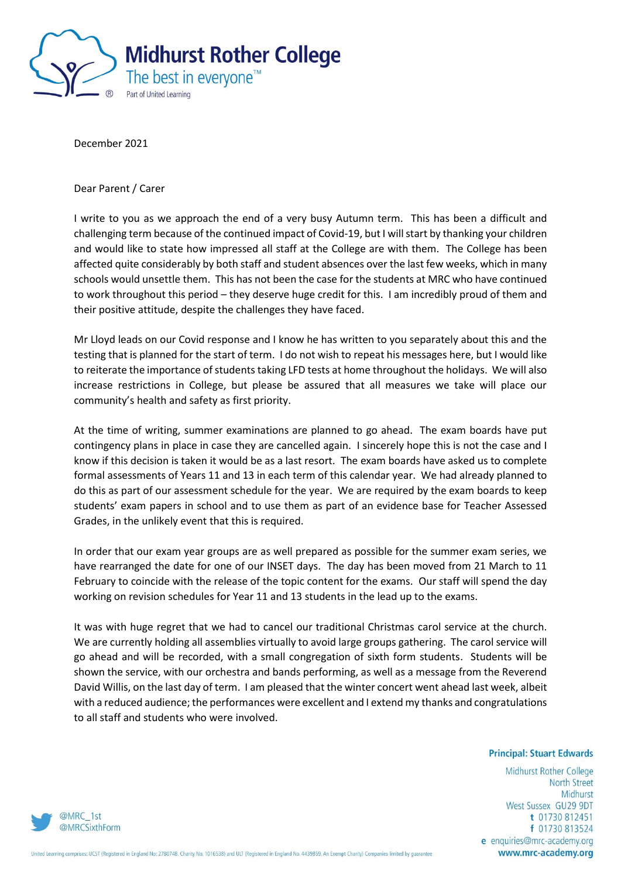

December 2021

Dear Parent / Carer

I write to you as we approach the end of a very busy Autumn term. This has been a difficult and challenging term because of the continued impact of Covid-19, but I will start by thanking your children and would like to state how impressed all staff at the College are with them. The College has been affected quite considerably by both staff and student absences over the last few weeks, which in many schools would unsettle them. This has not been the case for the students at MRC who have continued to work throughout this period – they deserve huge credit for this. I am incredibly proud of them and their positive attitude, despite the challenges they have faced.

Mr Lloyd leads on our Covid response and I know he has written to you separately about this and the testing that is planned for the start of term. I do not wish to repeat his messages here, but I would like to reiterate the importance of students taking LFD tests at home throughout the holidays. We will also increase restrictions in College, but please be assured that all measures we take will place our community's health and safety as first priority.

At the time of writing, summer examinations are planned to go ahead. The exam boards have put contingency plans in place in case they are cancelled again. I sincerely hope this is not the case and I know if this decision is taken it would be as a last resort. The exam boards have asked us to complete formal assessments of Years 11 and 13 in each term of this calendar year. We had already planned to do this as part of our assessment schedule for the year. We are required by the exam boards to keep students' exam papers in school and to use them as part of an evidence base for Teacher Assessed Grades, in the unlikely event that this is required.

In order that our exam year groups are as well prepared as possible for the summer exam series, we have rearranged the date for one of our INSET days. The day has been moved from 21 March to 11 February to coincide with the release of the topic content for the exams. Our staff will spend the day working on revision schedules for Year 11 and 13 students in the lead up to the exams.

It was with huge regret that we had to cancel our traditional Christmas carol service at the church. We are currently holding all assemblies virtually to avoid large groups gathering. The carol service will go ahead and will be recorded, with a small congregation of sixth form students. Students will be shown the service, with our orchestra and bands performing, as well as a message from the Reverend David Willis, on the last day of term. I am pleased that the winter concert went ahead last week, albeit with a reduced audience; the performances were excellent and I extend my thanks and congratulations to all staff and students who were involved.

## **Principal: Stuart Edwards**

Midhurst Rother College **North Street** Midhurst West Sussex GU29 9DT t 01730 812451 f 01730 813524 e enquiries@mrc-academy.org www.mrc-academy.org